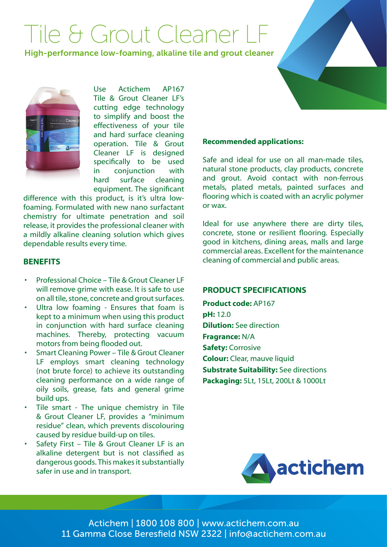# Tile & Grout Cleaner LF

High-performance low-foaming, alkaline tile and grout cleaner



Use Actichem AP167 Tile & Grout Cleaner LF's cutting edge technology to simplify and boost the effectiveness of your tile and hard surface cleaning operation. Tile & Grout Cleaner LF is designed specifically to be used in conjunction with hard surface cleaning equipment. The significant

difference with this product, is it's ultra lowfoaming. Formulated with new nano surfactant chemistry for ultimate penetration and soil release, it provides the professional cleaner with a mildly alkaline cleaning solution which gives dependable results every time.

### **BENEFITS**

- Professional Choice Tile & Grout Cleaner LF will remove grime with ease. It is safe to use on all tile, stone, concrete and grout surfaces.
- Ultra low foaming Ensures that foam is kept to a minimum when using this product in conjunction with hard surface cleaning machines. Thereby, protecting vacuum motors from being flooded out.
- Smart Cleaning Power Tile & Grout Cleaner LF employs smart cleaning technology (not brute force) to achieve its outstanding cleaning performance on a wide range of oily soils, grease, fats and general grime build ups.
- Tile smart The unique chemistry in Tile & Grout Cleaner LF, provides a "minimum residue" clean, which prevents discolouring caused by residue build-up on tiles.
- Safety First Tile & Grout Cleaner LF is an alkaline detergent but is not classified as dangerous goods. This makes it substantially safer in use and in transport.

### **Recommended applications:**

Safe and ideal for use on all man-made tiles, natural stone products, clay products, concrete and grout. Avoid contact with non-ferrous metals, plated metals, painted surfaces and flooring which is coated with an acrylic polymer or wax.

Ideal for use anywhere there are dirty tiles, concrete, stone or resilient flooring. Especially good in kitchens, dining areas, malls and large commercial areas. Excellent for the maintenance cleaning of commercial and public areas.

### **PRODUCT SPECIFICATIONS**

**Product code:** AP167 **pH:** 12.0 **Dilution:** See direction **Fragrance:** N/A **Safety:** Corrosive **Colour:** Clear, mauve liquid **Substrate Suitability:** See directions **Packaging:** 5Lt, 15Lt, 200Lt & 1000Lt



Actichem | 1800 108 800 | www.actichem.com.au 11 Gamma Close Beresfield NSW 2322 | info@actichem.com.au